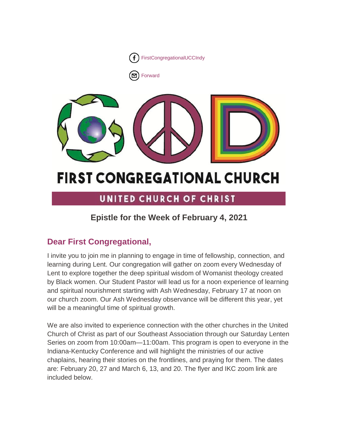



# UNITED CHURCH OF CHRIST

# **Epistle for the Week of February 4, 2021**

# **Dear First Congregational,**

I invite you to join me in planning to engage in time of fellowship, connection, and learning during Lent. Our congregation will gather on zoom every Wednesday of Lent to explore together the deep spiritual wisdom of Womanist theology created by Black women. Our Student Pastor will lead us for a noon experience of learning and spiritual nourishment starting with Ash Wednesday, February 17 at noon on our church zoom. Our Ash Wednesday observance will be different this year, yet will be a meaningful time of spiritual growth.

We are also invited to experience connection with the other churches in the United Church of Christ as part of our Southeast Association through our Saturday Lenten Series on zoom from 10:00am—11:00am. This program is open to everyone in the Indiana-Kentucky Conference and will highlight the ministries of our active chaplains, hearing their stories on the frontlines, and praying for them. The dates are: February 20, 27 and March 6, 13, and 20. The flyer and IKC zoom link are included below.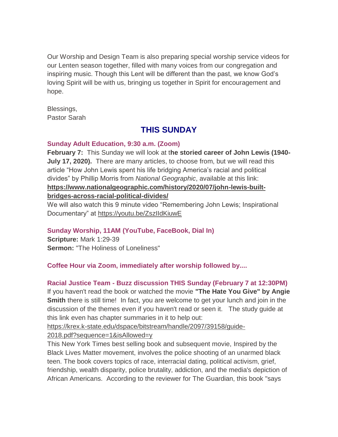Our Worship and Design Team is also preparing special worship service videos for our Lenten season together, filled with many voices from our congregation and inspiring music. Though this Lent will be different than the past, we know God's loving Spirit will be with us, bringing us together in Spirit for encouragement and hope.

Blessings, Pastor Sarah

# **THIS SUNDAY**

### **Sunday Adult Education, 9:30 a.m. (Zoom)**

**February 7:** This Sunday we will look at t**he storied career of John Lewis (1940- July 17, 2020).** There are many articles, to choose from, but we will read this article "How John Lewis spent his life bridging America's racial and political divides" by Phillip Morris from *National Geographic*, available at this link: **[https://www.nationalgeographic.com/history/2020/07/john-lewis-built](https://www.nationalgeographic.com/history/2020/07/john-lewis-built-bridges-across-racial-political-divides/)[bridges-across-racial-political-divides/](https://www.nationalgeographic.com/history/2020/07/john-lewis-built-bridges-across-racial-political-divides/)**

We will also watch this 9 minute video "Remembering John Lewis; Inspirational Documentary" at <https://youtu.be/ZszIIdKiuwE>

## **Sunday Worship, 11AM (YouTube, FaceBook, Dial In)**

**Scripture:** Mark 1:29-39 **Sermon:** "The Holiness of Loneliness"

## **Coffee Hour via Zoom, immediately after worship followed by....**

## **Racial Justice Team - Buzz discussion THIS Sunday (February 7 at 12:30PM)**

If you haven't read the book or watched the movie **"The Hate You Give" by Angie Smith** there is still time! In fact, you are welcome to get your lunch and join in the discussion of the themes even if you haven't read or seen it. The study guide at this link even has chapter summaries in it to help out:

[https://krex.k-state.edu/dspace/bitstream/handle/2097/39158/guide-](https://fcindy.us16.list-manage.com/track/click?u=7a2e4c501545b6d78729a64a1&id=d5df124d22&e=cf7a4265df)

[2018.pdf?sequence=1&isAllowed=y](https://fcindy.us16.list-manage.com/track/click?u=7a2e4c501545b6d78729a64a1&id=d5df124d22&e=cf7a4265df)

This New York Times best selling book and subsequent movie, Inspired by the Black Lives Matter movement, involves the police shooting of an unarmed black teen. The book covers topics of race, interracial dating, political activism, grief, friendship, wealth disparity, police brutality, addiction, and the media's depiction of African Americans. According to the reviewer for The Guardian, this book "says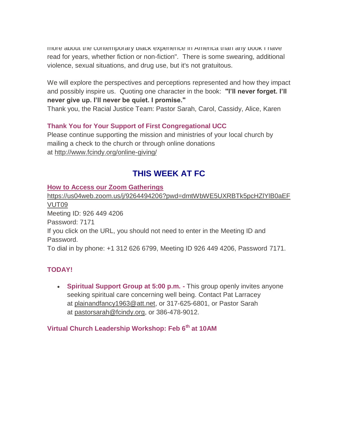more about the contemporary black experience in America than any book I have read for years, whether fiction or non-fiction". There is some swearing, additional violence, sexual situations, and drug use, but it's not gratuitous.

We will explore the perspectives and perceptions represented and how they impact and possibly inspire us. Quoting one character in the book: **"I'll never forget. I'll never give up. I'll never be quiet. I promise."**

Thank you, the Racial Justice Team: Pastor Sarah, Carol, Cassidy, Alice, Karen

## **Thank You for Your Support of First Congregational UCC**

Please continue supporting the mission and ministries of your local church by mailing a check to the church or through online donations at <http://www.fcindy.org/online-giving/>

# **THIS WEEK AT FC**

### **How to Access our Zoom Gatherings**

[https://us04web.zoom.us/j/9264494206?pwd=dmtWbWE5UXRBTk5pcHZlYlB0aEF](https://us04web.zoom.us/j/9264494206?pwd=dmtWbWE5UXRBTk5pcHZlYlB0aEFVUT09) [VUT09](https://us04web.zoom.us/j/9264494206?pwd=dmtWbWE5UXRBTk5pcHZlYlB0aEFVUT09) Meeting ID: 926 449 4206 Password: 7171 If you click on the URL, you should not need to enter in the Meeting ID and Password. To dial in by phone: +1 312 626 6799, Meeting ID 926 449 4206, Password 7171.

## **TODAY!**

 **Spiritual Support Group at 5:00 p.m. -** This group openly invites anyone seeking spiritual care concerning well being. Contact Pat Larracey at [plainandfancy1963@att.net,](mailto:plainandfancy1963@att.net) or 317-625-6801, or Pastor Sarah at [pastorsarah@fcindy.org,](mailto:pastorsarah@fcindy.org) or 386-478-9012.

## **Virtual Church Leadership Workshop: Feb 6th at 10AM**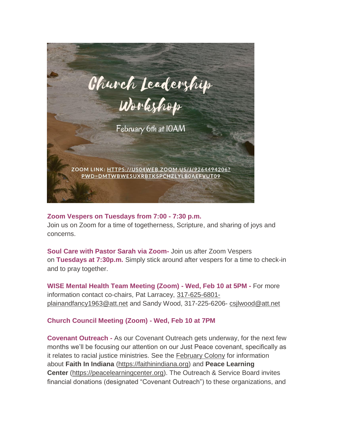

### **Zoom Vespers on Tuesdays from 7:00 - 7:30 p.m.**

Join us on Zoom for a time of togetherness, Scripture, and sharing of joys and concerns.

**Soul Care with Pastor Sarah via Zoom-** Join us after Zoom Vespers on **Tuesdays at 7:30p.m.** Simply stick around after vespers for a time to check-in and to pray together.

**WISE Mental Health Team Meeting (Zoom) - Wed, Feb 10 at 5PM -** For more information contact co-chairs, Pat Larracey, [317-625-6801](mailto:317-625-6801-plainandfancy1963@att.net) [plainandfancy1963@att.net](mailto:317-625-6801-plainandfancy1963@att.net) and Sandy Wood, 317-225-6206- [csjlwood@att.net](mailto:csjlwood@att.net)

## **Church Council Meeting (Zoom) - Wed, Feb 10 at 7PM**

**Covenant Outreach -** As our Covenant Outreach gets underway, for the next few months we'll be focusing our attention on our Just Peace covenant, specifically as it relates to racial justice ministries. See the [February Colony](https://mcusercontent.com/7a2e4c501545b6d78729a64a1/files/c162ad15-d62a-49e5-88b5-fe8b53fcd15a/February_Colony_2021.02.pdf) for information about **Faith In Indiana** [\(https://faithinindiana.org\)](https://faithinindiana.org/) and **Peace Learning Center** [\(https://peacelearningcenter.org\)](https://peacelearningcenter.org/). The Outreach & Service Board invites financial donations (designated "Covenant Outreach") to these organizations, and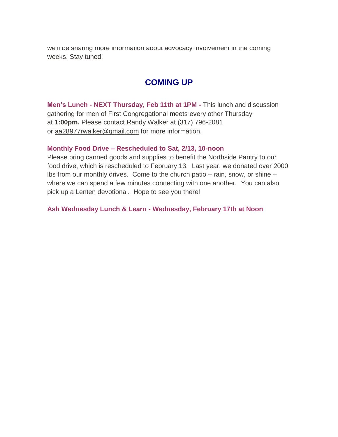we'll be sharing more information about advocacy involvement in the coming weeks. Stay tuned!

## **COMING UP**

**Men's Lunch - NEXT Thursday, Feb 11th at 1PM -** This lunch and discussion gathering for men of First Congregational meets every other Thursday at **1:00pm.** Please contact Randy Walker at (317) 796-2081 or aa28977rwalker@gmail.com for more information.

### **Monthly Food Drive – Rescheduled to Sat, 2/13, 10-noon**

Please bring canned goods and supplies to benefit the Northside Pantry to our food drive, which is rescheduled to February 13. Last year, we donated over 2000 lbs from our monthly drives. Come to the church patio – rain, snow, or shine – where we can spend a few minutes connecting with one another. You can also pick up a Lenten devotional. Hope to see you there!

**Ash Wednesday Lunch & Learn - Wednesday, February 17th at Noon**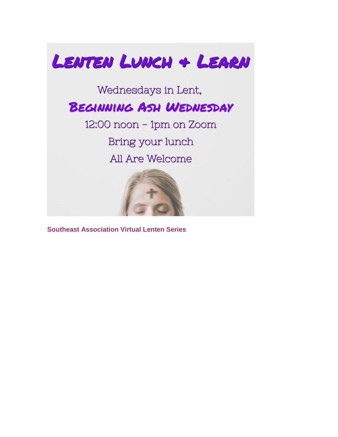

**Southeast Association Virtual Lenten Series**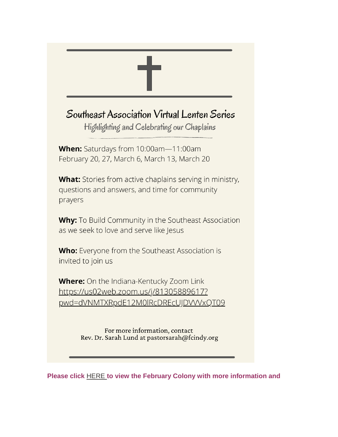

**Please click** [HERE](https://mcusercontent.com/7a2e4c501545b6d78729a64a1/files/c162ad15-d62a-49e5-88b5-fe8b53fcd15a/February_Colony_2021.02.pdf) **to view the February Colony with more information and**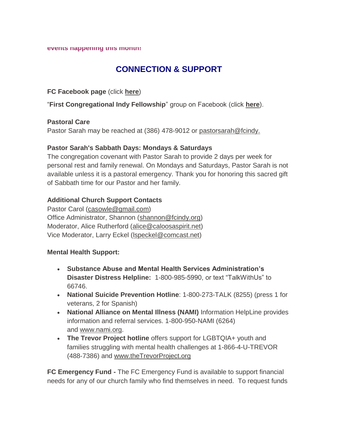#### **events happening this month!**

# **CONNECTION & SUPPORT**

### **FC Facebook page** (click **[here](https://www.facebook.com/FirstCongregationalUCCIndy/)**)

"**First Congregational Indy Fellowship**" group on Facebook (click **[here](https://www.facebook.com/groups/521333455186422/)**).

### **Pastoral Care**

Pastor Sarah may be reached at (386) 478-9012 or [pastorsarah@fcindy.](mailto:pastorsarah@fcindy.org)

## **Pastor Sarah's Sabbath Days: Mondays & Saturdays**

The congregation covenant with Pastor Sarah to provide 2 days per week for personal rest and family renewal. On Mondays and Saturdays, Pastor Sarah is not available unless it is a pastoral emergency. Thank you for honoring this sacred gift of Sabbath time for our Pastor and her family.

## **Additional Church Support Contacts**

Pastor Carol [\(casowle@gmail.com\)](mailto:casowle@gmail.com) Office Administrator, Shannon [\(shannon@fcindy.org\)](mailto:shannon@fcindy.org) Moderator, Alice Rutherford [\(alice@caloosaspirit.net\)](mailto:alice@caloosaspirit.net) Vice Moderator, Larry Eckel [\(lspeckel@comcast.net\)](mailto:lspeckel@comcast.net)

## **Mental Health Support:**

- **Substance Abuse and Mental Health Services Administration's Disaster Distress Helpline:** 1-800-985-5990, or text "TalkWithUs" to 66746.
- **National Suicide Prevention Hotline**: 1-800-273-TALK (8255) (press 1 for veterans, 2 for Spanish)
- **National Alliance on Mental Illness (NAMI)** Information HelpLine provides information and referral services. 1-800-950-NAMI (6264) and [www.nami.org.](http://www.nami.org/)
- **The Trevor Project hotline** offers support for LGBTQIA+ youth and families struggling with mental health challenges at 1-866-4-U-TREVOR (488-7386) and [www.theTrevorProject.org](http://www.thetrevorproject.org/)

**FC Emergency Fund -** The FC Emergency Fund is available to support financial needs for any of our church family who find themselves in need. To request funds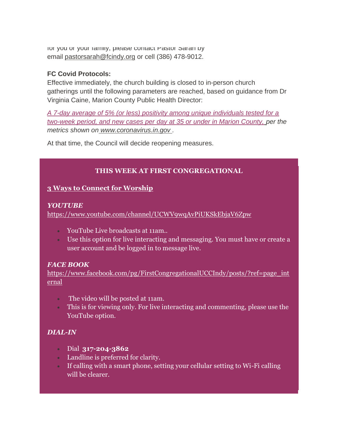for you or your family, please contact Pastor Sarah by email [pastorsarah@fcindy.org](mailto:pastorsarah@fcindy.org) or cell (386) 478-9012.

### **FC Covid Protocols:**

Effective immediately, the church building is closed to in-person church gatherings until the following parameters are reached, based on guidance from Dr Virginia Caine, Marion County Public Health Director:

*A 7-day average of 5% (or less) positivity among unique individuals tested for a two-week period, and new cases per day at 35 or under in Marion County, per the metrics shown on [www.coronavirus.in.gov](http://www.coronavirus.in.gov/) .* 

At that time, the Council will decide reopening measures.

## **THIS WEEK AT FIRST CONGREGATIONAL**

## **3 Ways to Connect for Worship**

## *YOUTUBE*

<https://www.youtube.com/channel/UCWV9wqAvPiUKSkEbjaV6Zpw>

- YouTube Live broadcasts at 11am..
- Use this option for live interacting and messaging. You must have or create a user account and be logged in to message live.

## *FACE BOOK*

[https://www.facebook.com/pg/FirstCongregationalUCCIndy/posts/?ref=page\\_int](https://www.facebook.com/pg/FirstCongregationalUCCIndy/posts/?ref=page_internal) [ernal](https://www.facebook.com/pg/FirstCongregationalUCCIndy/posts/?ref=page_internal)

- The video will be posted at 11am.
- This is for viewing only. For live interacting and commenting, please use the YouTube option.

## *DIAL-IN*

- Dial **317-204-3862**
- Landline is preferred for clarity.
- If calling with a smart phone, setting your cellular setting to Wi-Fi calling will be clearer.